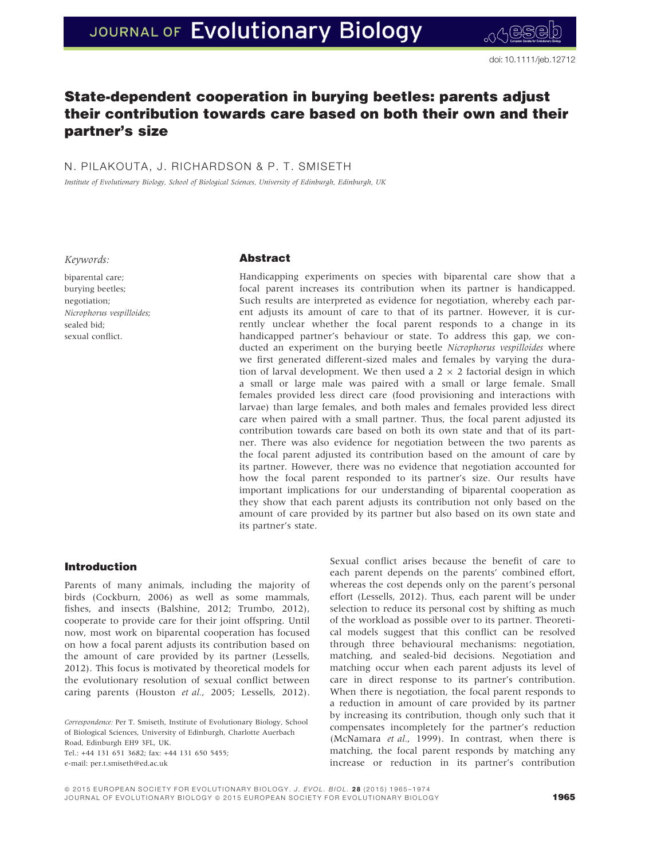# State-dependent cooperation in burying beetles: parents adjust their contribution towards care based on both their own and their partner's size

N. PILAKOUTA, J. RICHARDSON & P. T. SMISETH

Institute of Evolutionary Biology, School of Biological Sciences, University of Edinburgh, Edinburgh, UK

Keywords:

biparental care; burying beetles; negotiation; Nicrophorus vespilloides; sealed bid; sexual conflict.

# Abstract

Handicapping experiments on species with biparental care show that a focal parent increases its contribution when its partner is handicapped. Such results are interpreted as evidence for negotiation, whereby each parent adjusts its amount of care to that of its partner. However, it is currently unclear whether the focal parent responds to a change in its handicapped partner's behaviour or state. To address this gap, we conducted an experiment on the burying beetle Nicrophorus vespilloides where we first generated different-sized males and females by varying the duration of larval development. We then used a  $2 \times 2$  factorial design in which a small or large male was paired with a small or large female. Small females provided less direct care (food provisioning and interactions with larvae) than large females, and both males and females provided less direct care when paired with a small partner. Thus, the focal parent adjusted its contribution towards care based on both its own state and that of its partner. There was also evidence for negotiation between the two parents as the focal parent adjusted its contribution based on the amount of care by its partner. However, there was no evidence that negotiation accounted for how the focal parent responded to its partner's size. Our results have important implications for our understanding of biparental cooperation as they show that each parent adjusts its contribution not only based on the amount of care provided by its partner but also based on its own state and its partner's state.

## Introduction

Parents of many animals, including the majority of birds (Cockburn, 2006) as well as some mammals, fishes, and insects (Balshine, 2012; Trumbo, 2012), cooperate to provide care for their joint offspring. Until now, most work on biparental cooperation has focused on how a focal parent adjusts its contribution based on the amount of care provided by its partner (Lessells, 2012). This focus is motivated by theoretical models for the evolutionary resolution of sexual conflict between caring parents (Houston et al., 2005; Lessells, 2012).

Correspondence: Per T. Smiseth, Institute of Evolutionary Biology, School of Biological Sciences, University of Edinburgh, Charlotte Auerbach Road, Edinburgh EH9 3FL, UK. Tel.: +44 131 651 3682; fax: +44 131 650 5455; e-mail: per.t.smiseth@ed.ac.uk

Sexual conflict arises because the benefit of care to each parent depends on the parents' combined effort, whereas the cost depends only on the parent's personal effort (Lessells, 2012). Thus, each parent will be under selection to reduce its personal cost by shifting as much of the workload as possible over to its partner. Theoretical models suggest that this conflict can be resolved through three behavioural mechanisms: negotiation, matching, and sealed-bid decisions. Negotiation and matching occur when each parent adjusts its level of care in direct response to its partner's contribution. When there is negotiation, the focal parent responds to a reduction in amount of care provided by its partner by increasing its contribution, though only such that it compensates incompletely for the partner's reduction (McNamara et al., 1999). In contrast, when there is matching, the focal parent responds by matching any increase or reduction in its partner's contribution

© 2015 EUROPEAN SOCIETY FOR EVOLUTIONARY BIOLOGY. J. EVOL. BIOL. 28 (2015) 1965-1974 JOURNAL OF EVOLUTIONARY BIOLOGY © 2015 EUROPEAN SOCIETY FOR EVOLUTIONARY BIOLOGY **1965**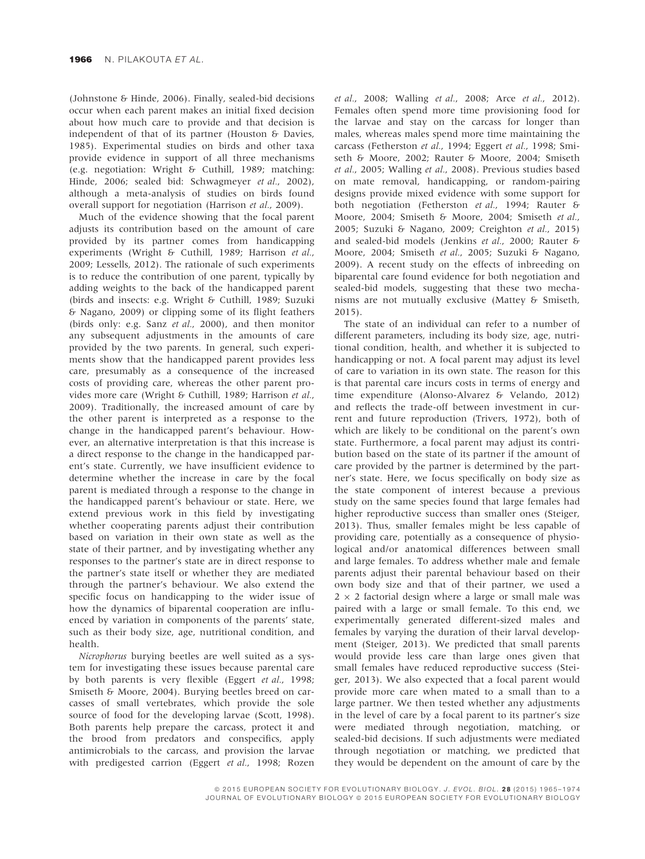(Johnstone & Hinde, 2006). Finally, sealed-bid decisions occur when each parent makes an initial fixed decision about how much care to provide and that decision is independent of that of its partner (Houston & Davies, 1985). Experimental studies on birds and other taxa provide evidence in support of all three mechanisms (e.g. negotiation: Wright & Cuthill, 1989; matching: Hinde, 2006; sealed bid: Schwagmeyer et al., 2002), although a meta-analysis of studies on birds found overall support for negotiation (Harrison et al., 2009).

Much of the evidence showing that the focal parent adjusts its contribution based on the amount of care provided by its partner comes from handicapping experiments (Wright & Cuthill, 1989; Harrison et al., 2009; Lessells, 2012). The rationale of such experiments is to reduce the contribution of one parent, typically by adding weights to the back of the handicapped parent (birds and insects: e.g. Wright & Cuthill, 1989; Suzuki & Nagano, 2009) or clipping some of its flight feathers (birds only: e.g. Sanz et al., 2000), and then monitor any subsequent adjustments in the amounts of care provided by the two parents. In general, such experiments show that the handicapped parent provides less care, presumably as a consequence of the increased costs of providing care, whereas the other parent provides more care (Wright & Cuthill, 1989; Harrison et al., 2009). Traditionally, the increased amount of care by the other parent is interpreted as a response to the change in the handicapped parent's behaviour. However, an alternative interpretation is that this increase is a direct response to the change in the handicapped parent's state. Currently, we have insufficient evidence to determine whether the increase in care by the focal parent is mediated through a response to the change in the handicapped parent's behaviour or state. Here, we extend previous work in this field by investigating whether cooperating parents adjust their contribution based on variation in their own state as well as the state of their partner, and by investigating whether any responses to the partner's state are in direct response to the partner's state itself or whether they are mediated through the partner's behaviour. We also extend the specific focus on handicapping to the wider issue of how the dynamics of biparental cooperation are influenced by variation in components of the parents' state, such as their body size, age, nutritional condition, and health.

Nicrophorus burying beetles are well suited as a system for investigating these issues because parental care by both parents is very flexible (Eggert et al., 1998; Smiseth & Moore, 2004). Burying beetles breed on carcasses of small vertebrates, which provide the sole source of food for the developing larvae (Scott, 1998). Both parents help prepare the carcass, protect it and the brood from predators and conspecifics, apply antimicrobials to the carcass, and provision the larvae with predigested carrion (Eggert et al., 1998; Rozen et al., 2008; Walling et al., 2008; Arce et al., 2012). Females often spend more time provisioning food for the larvae and stay on the carcass for longer than males, whereas males spend more time maintaining the carcass (Fetherston et al., 1994; Eggert et al., 1998; Smiseth & Moore, 2002; Rauter & Moore, 2004; Smiseth et al., 2005; Walling et al., 2008). Previous studies based on mate removal, handicapping, or random-pairing designs provide mixed evidence with some support for both negotiation (Fetherston et al., 1994; Rauter & Moore, 2004; Smiseth & Moore, 2004; Smiseth et al., 2005; Suzuki & Nagano, 2009; Creighton et al., 2015) and sealed-bid models (Jenkins et al., 2000; Rauter & Moore, 2004; Smiseth et al., 2005; Suzuki & Nagano, 2009). A recent study on the effects of inbreeding on biparental care found evidence for both negotiation and sealed-bid models, suggesting that these two mechanisms are not mutually exclusive (Mattey & Smiseth, 2015).

The state of an individual can refer to a number of different parameters, including its body size, age, nutritional condition, health, and whether it is subjected to handicapping or not. A focal parent may adjust its level of care to variation in its own state. The reason for this is that parental care incurs costs in terms of energy and time expenditure (Alonso-Alvarez & Velando, 2012) and reflects the trade-off between investment in current and future reproduction (Trivers, 1972), both of which are likely to be conditional on the parent's own state. Furthermore, a focal parent may adjust its contribution based on the state of its partner if the amount of care provided by the partner is determined by the partner's state. Here, we focus specifically on body size as the state component of interest because a previous study on the same species found that large females had higher reproductive success than smaller ones (Steiger, 2013). Thus, smaller females might be less capable of providing care, potentially as a consequence of physiological and/or anatomical differences between small and large females. To address whether male and female parents adjust their parental behaviour based on their own body size and that of their partner, we used a  $2 \times 2$  factorial design where a large or small male was paired with a large or small female. To this end, we experimentally generated different-sized males and females by varying the duration of their larval development (Steiger, 2013). We predicted that small parents would provide less care than large ones given that small females have reduced reproductive success (Steiger, 2013). We also expected that a focal parent would provide more care when mated to a small than to a large partner. We then tested whether any adjustments in the level of care by a focal parent to its partner's size were mediated through negotiation, matching, or sealed-bid decisions. If such adjustments were mediated through negotiation or matching, we predicted that they would be dependent on the amount of care by the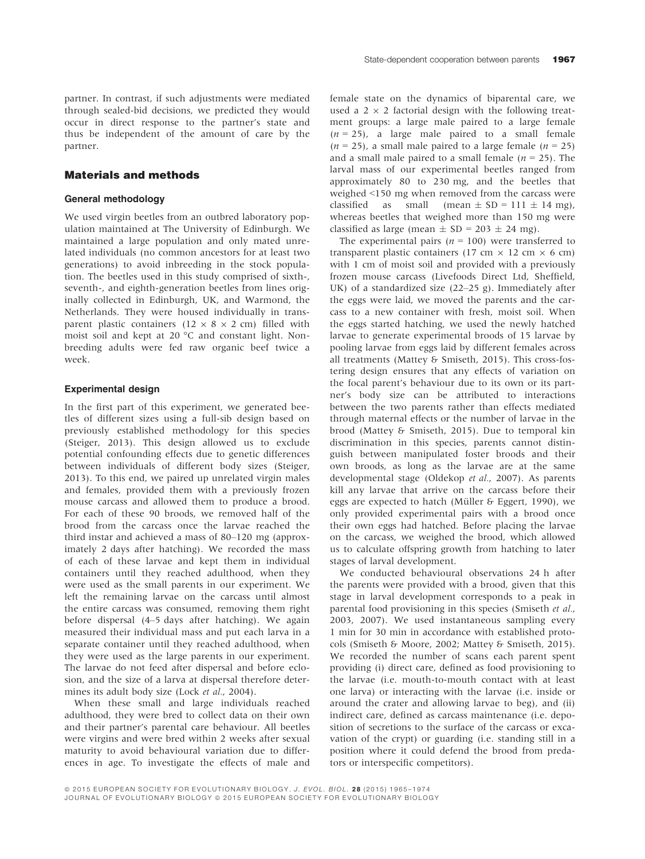partner. In contrast, if such adjustments were mediated through sealed-bid decisions, we predicted they would occur in direct response to the partner's state and thus be independent of the amount of care by the partner.

## Materials and methods

#### General methodology

We used virgin beetles from an outbred laboratory population maintained at The University of Edinburgh. We maintained a large population and only mated unrelated individuals (no common ancestors for at least two generations) to avoid inbreeding in the stock population. The beetles used in this study comprised of sixth-, seventh-, and eighth-generation beetles from lines originally collected in Edinburgh, UK, and Warmond, the Netherlands. They were housed individually in transparent plastic containers (12  $\times$  8  $\times$  2 cm) filled with moist soil and kept at 20 °C and constant light. Nonbreeding adults were fed raw organic beef twice a week.

#### Experimental design

In the first part of this experiment, we generated beetles of different sizes using a full-sib design based on previously established methodology for this species (Steiger, 2013). This design allowed us to exclude potential confounding effects due to genetic differences between individuals of different body sizes (Steiger, 2013). To this end, we paired up unrelated virgin males and females, provided them with a previously frozen mouse carcass and allowed them to produce a brood. For each of these 90 broods, we removed half of the brood from the carcass once the larvae reached the third instar and achieved a mass of 80–120 mg (approximately 2 days after hatching). We recorded the mass of each of these larvae and kept them in individual containers until they reached adulthood, when they were used as the small parents in our experiment. We left the remaining larvae on the carcass until almost the entire carcass was consumed, removing them right before dispersal (4–5 days after hatching). We again measured their individual mass and put each larva in a separate container until they reached adulthood, when they were used as the large parents in our experiment. The larvae do not feed after dispersal and before eclosion, and the size of a larva at dispersal therefore determines its adult body size (Lock et al., 2004).

When these small and large individuals reached adulthood, they were bred to collect data on their own and their partner's parental care behaviour. All beetles were virgins and were bred within 2 weeks after sexual maturity to avoid behavioural variation due to differences in age. To investigate the effects of male and

female state on the dynamics of biparental care, we used a  $2 \times 2$  factorial design with the following treatment groups: a large male paired to a large female  $(n = 25)$ , a large male paired to a small female  $(n = 25)$ , a small male paired to a large female  $(n = 25)$ and a small male paired to a small female  $(n = 25)$ . The larval mass of our experimental beetles ranged from approximately 80 to 230 mg, and the beetles that weighed <150 mg when removed from the carcass were classified as small (mean  $\pm$  SD = 111  $\pm$  14 mg), whereas beetles that weighed more than 150 mg were classified as large (mean  $\pm$  SD = 203  $\pm$  24 mg).

The experimental pairs ( $n = 100$ ) were transferred to transparent plastic containers (17 cm  $\times$  12 cm  $\times$  6 cm) with 1 cm of moist soil and provided with a previously frozen mouse carcass (Livefoods Direct Ltd, Sheffield, UK) of a standardized size (22–25 g). Immediately after the eggs were laid, we moved the parents and the carcass to a new container with fresh, moist soil. When the eggs started hatching, we used the newly hatched larvae to generate experimental broods of 15 larvae by pooling larvae from eggs laid by different females across all treatments (Mattey & Smiseth, 2015). This cross-fostering design ensures that any effects of variation on the focal parent's behaviour due to its own or its partner's body size can be attributed to interactions between the two parents rather than effects mediated through maternal effects or the number of larvae in the brood (Mattey & Smiseth, 2015). Due to temporal kin discrimination in this species, parents cannot distinguish between manipulated foster broods and their own broods, as long as the larvae are at the same developmental stage (Oldekop et al., 2007). As parents kill any larvae that arrive on the carcass before their eggs are expected to hatch (Müller & Eggert, 1990), we only provided experimental pairs with a brood once their own eggs had hatched. Before placing the larvae on the carcass, we weighed the brood, which allowed us to calculate offspring growth from hatching to later stages of larval development.

We conducted behavioural observations 24 h after the parents were provided with a brood, given that this stage in larval development corresponds to a peak in parental food provisioning in this species (Smiseth et al., 2003, 2007). We used instantaneous sampling every 1 min for 30 min in accordance with established protocols (Smiseth & Moore, 2002; Mattey & Smiseth, 2015). We recorded the number of scans each parent spent providing (i) direct care, defined as food provisioning to the larvae (i.e. mouth-to-mouth contact with at least one larva) or interacting with the larvae (i.e. inside or around the crater and allowing larvae to beg), and (ii) indirect care, defined as carcass maintenance (i.e. deposition of secretions to the surface of the carcass or excavation of the crypt) or guarding (i.e. standing still in a position where it could defend the brood from predators or interspecific competitors).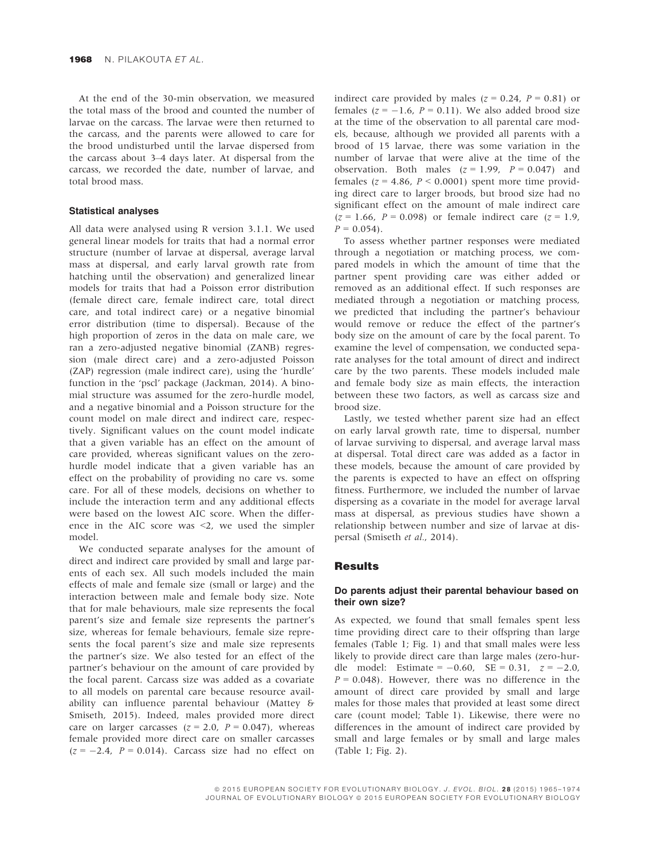At the end of the 30-min observation, we measured the total mass of the brood and counted the number of larvae on the carcass. The larvae were then returned to the carcass, and the parents were allowed to care for the brood undisturbed until the larvae dispersed from the carcass about 3–4 days later. At dispersal from the carcass, we recorded the date, number of larvae, and total brood mass.

#### Statistical analyses

All data were analysed using R version 3.1.1. We used general linear models for traits that had a normal error structure (number of larvae at dispersal, average larval mass at dispersal, and early larval growth rate from hatching until the observation) and generalized linear models for traits that had a Poisson error distribution (female direct care, female indirect care, total direct care, and total indirect care) or a negative binomial error distribution (time to dispersal). Because of the high proportion of zeros in the data on male care, we ran a zero-adjusted negative binomial (ZANB) regression (male direct care) and a zero-adjusted Poisson (ZAP) regression (male indirect care), using the 'hurdle' function in the 'pscl' package (Jackman, 2014). A binomial structure was assumed for the zero-hurdle model, and a negative binomial and a Poisson structure for the count model on male direct and indirect care, respectively. Significant values on the count model indicate that a given variable has an effect on the amount of care provided, whereas significant values on the zerohurdle model indicate that a given variable has an effect on the probability of providing no care vs. some care. For all of these models, decisions on whether to include the interaction term and any additional effects were based on the lowest AIC score. When the difference in the AIC score was  $\leq$ 2, we used the simpler model.

We conducted separate analyses for the amount of direct and indirect care provided by small and large parents of each sex. All such models included the main effects of male and female size (small or large) and the interaction between male and female body size. Note that for male behaviours, male size represents the focal parent's size and female size represents the partner's size, whereas for female behaviours, female size represents the focal parent's size and male size represents the partner's size. We also tested for an effect of the partner's behaviour on the amount of care provided by the focal parent. Carcass size was added as a covariate to all models on parental care because resource availability can influence parental behaviour (Mattey & Smiseth, 2015). Indeed, males provided more direct care on larger carcasses ( $z = 2.0$ ,  $P = 0.047$ ), whereas female provided more direct care on smaller carcasses  $(z = -2.4, P = 0.014)$ . Carcass size had no effect on

indirect care provided by males ( $z = 0.24$ ,  $P = 0.81$ ) or females ( $z = -1.6$ ,  $P = 0.11$ ). We also added brood size at the time of the observation to all parental care models, because, although we provided all parents with a brood of 15 larvae, there was some variation in the number of larvae that were alive at the time of the observation. Both males  $(z = 1.99, P = 0.047)$  and females ( $z = 4.86$ ,  $P < 0.0001$ ) spent more time providing direct care to larger broods, but brood size had no significant effect on the amount of male indirect care  $(z = 1.66, P = 0.098)$  or female indirect care  $(z = 1.9, P = 0.098)$  $P = 0.054$ .

To assess whether partner responses were mediated through a negotiation or matching process, we compared models in which the amount of time that the partner spent providing care was either added or removed as an additional effect. If such responses are mediated through a negotiation or matching process, we predicted that including the partner's behaviour would remove or reduce the effect of the partner's body size on the amount of care by the focal parent. To examine the level of compensation, we conducted separate analyses for the total amount of direct and indirect care by the two parents. These models included male and female body size as main effects, the interaction between these two factors, as well as carcass size and brood size.

Lastly, we tested whether parent size had an effect on early larval growth rate, time to dispersal, number of larvae surviving to dispersal, and average larval mass at dispersal. Total direct care was added as a factor in these models, because the amount of care provided by the parents is expected to have an effect on offspring fitness. Furthermore, we included the number of larvae dispersing as a covariate in the model for average larval mass at dispersal, as previous studies have shown a relationship between number and size of larvae at dispersal (Smiseth et al., 2014).

## Results

## Do parents adjust their parental behaviour based on their own size?

As expected, we found that small females spent less time providing direct care to their offspring than large females (Table 1; Fig. 1) and that small males were less likely to provide direct care than large males (zero-hurdle model: Estimate =  $-0.60$ , SE = 0.31,  $z = -2.0$ ,  $P = 0.048$ ). However, there was no difference in the amount of direct care provided by small and large males for those males that provided at least some direct care (count model; Table 1). Likewise, there were no differences in the amount of indirect care provided by small and large females or by small and large males (Table 1; Fig. 2).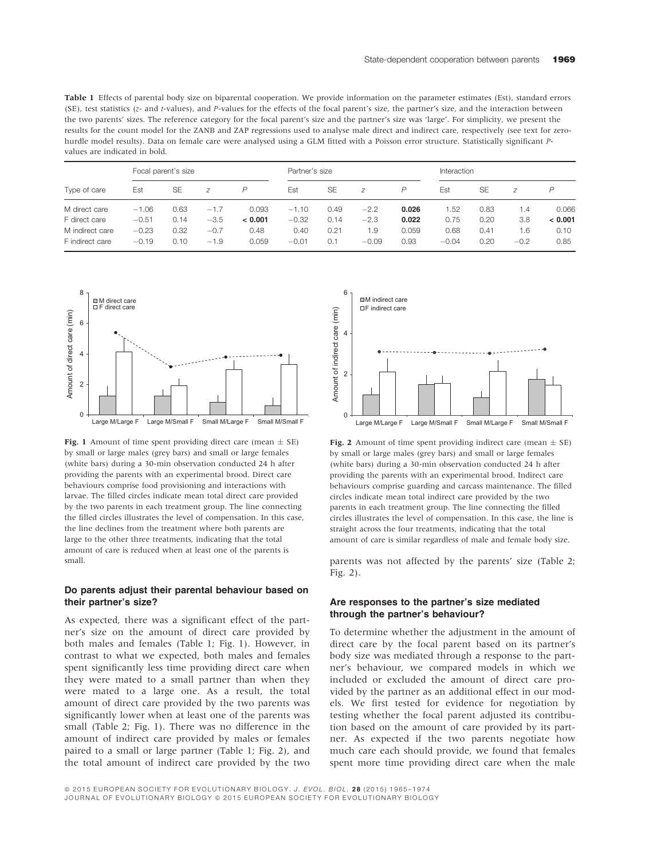Table 1 Effects of parental body size on biparental cooperation. We provide information on the parameter estimates (Est), standard errors (SE), test statistics (z- and t-values), and P-values for the effects of the focal parent's size, the partner's size, and the interaction between the two parents' sizes. The reference category for the focal parent's size and the partner's size was 'large'. For simplicity, we present the results for the count model for the ZANB and ZAP regressions used to analyse male direct and indirect care, respectively (see text for zerohurdle model results). Data on female care were analysed using a GLM fitted with a Poisson error structure. Statistically significant Pvalues are indicated in bold.

| Type of care    | Focal parent's size |           |        |         | Partner's size |           |         |       | Interaction |           |        |         |  |
|-----------------|---------------------|-----------|--------|---------|----------------|-----------|---------|-------|-------------|-----------|--------|---------|--|
|                 | Est                 | <b>SE</b> | Ζ      | P       | Est            | <b>SE</b> | Ζ       |       | Est         | <b>SE</b> | Ζ      | P       |  |
| M direct care   | $-1.06$             | 0.63      | $-1.7$ | 0.093   | $-1.10$        | 0.49      | $-2.2$  | 0.026 | 1.52        | 0.83      | 1.4    | 0.066   |  |
| F direct care   | $-0.51$             | 0.14      | $-3.5$ | < 0.001 | $-0.32$        | 0.14      | $-2.3$  | 0.022 | 0.75        | 0.20      | 3.8    | < 0.001 |  |
| M indirect care | $-0.23$             | 0.32      | $-0.7$ | 0.48    | 0.40           | 0.21      | l.9     | 0.059 | 0.68        | 0.41      | 1.6    | 0.10    |  |
| F indirect care | $-0.19$             | 0.10      | $-1.9$ | 0.059   | $-0.01$        | 0.1       | $-0.09$ | 0.93  | $-0.04$     | 0.20      | $-0.2$ | 0.85    |  |



Fig. 1 Amount of time spent providing direct care (mean  $\pm$  SE) by small or large males (grey bars) and small or large females (white bars) during a 30-min observation conducted 24 h after providing the parents with an experimental brood. Direct care behaviours comprise food provisioning and interactions with larvae. The filled circles indicate mean total direct care provided by the two parents in each treatment group. The line connecting the filled circles illustrates the level of compensation. In this case, the line declines from the treatment where both parents are large to the other three treatments, indicating that the total amount of care is reduced when at least one of the parents is small.

# Do parents adjust their parental behaviour based on their partner's size?

As expected, there was a significant effect of the partner's size on the amount of direct care provided by both males and females (Table 1; Fig. 1). However, in contrast to what we expected, both males and females spent significantly less time providing direct care when they were mated to a small partner than when they were mated to a large one. As a result, the total amount of direct care provided by the two parents was significantly lower when at least one of the parents was small (Table 2; Fig. 1). There was no difference in the amount of indirect care provided by males or females paired to a small or large partner (Table 1; Fig. 2), and the total amount of indirect care provided by the two



Fig. 2 Amount of time spent providing indirect care (mean  $\pm$  SE) by small or large males (grey bars) and small or large females (white bars) during a 30-min observation conducted 24 h after providing the parents with an experimental brood. Indirect care behaviours comprise guarding and carcass maintenance. The filled circles indicate mean total indirect care provided by the two parents in each treatment group. The line connecting the filled circles illustrates the level of compensation. In this case, the line is straight across the four treatments, indicating that the total amount of care is similar regardless of male and female body size.

parents was not affected by the parents' size (Table 2; Fig. 2).

### Are responses to the partner's size mediated through the partner's behaviour?

To determine whether the adjustment in the amount of direct care by the focal parent based on its partner's body size was mediated through a response to the partner's behaviour, we compared models in which we included or excluded the amount of direct care provided by the partner as an additional effect in our models. We first tested for evidence for negotiation by testing whether the focal parent adjusted its contribution based on the amount of care provided by its partner. As expected if the two parents negotiate how much care each should provide, we found that females spent more time providing direct care when the male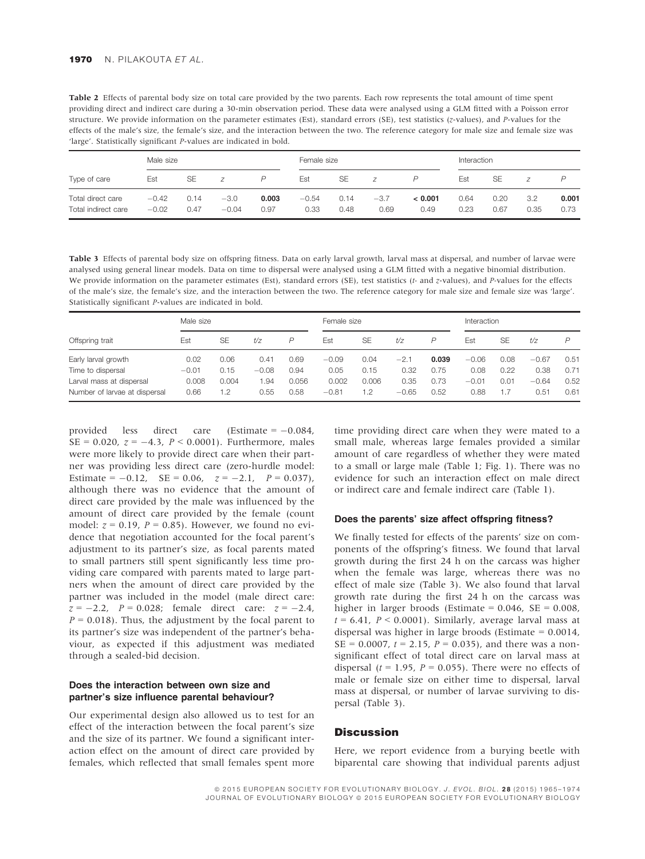Table 2 Effects of parental body size on total care provided by the two parents. Each row represents the total amount of time spent providing direct and indirect care during a 30-min observation period. These data were analysed using a GLM fitted with a Poisson error structure. We provide information on the parameter estimates (Est), standard errors (SE), test statistics (z-values), and P-values for the effects of the male's size, the female's size, and the interaction between the two. The reference category for male size and female size was 'large'. Statistically significant P-values are indicated in bold.

|                                          | Male size          |              |                   |               | Female size     |              |                | Interaction     |              |              |             |               |
|------------------------------------------|--------------------|--------------|-------------------|---------------|-----------------|--------------|----------------|-----------------|--------------|--------------|-------------|---------------|
| Type of care                             | Est                | <b>SE</b>    |                   | P             | Est             | <b>SE</b>    |                | P               | Est          | <b>SE</b>    |             |               |
| Total direct care<br>Total indirect care | $-0.42$<br>$-0.02$ | 0.14<br>0.47 | $-3.0$<br>$-0.04$ | 0.003<br>0.97 | $-0.54$<br>0.33 | 0.14<br>0.48 | $-3.7$<br>0.69 | < 0.001<br>0.49 | 0.64<br>0.23 | 0.20<br>0.67 | 3.2<br>0.35 | 0.001<br>0.73 |

Table 3 Effects of parental body size on offspring fitness. Data on early larval growth, larval mass at dispersal, and number of larvae were analysed using general linear models. Data on time to dispersal were analysed using a GLM fitted with a negative binomial distribution. We provide information on the parameter estimates (Est), standard errors (SE), test statistics (t- and z-values), and P-values for the effects of the male's size, the female's size, and the interaction between the two. The reference category for male size and female size was 'large'. Statistically significant P-values are indicated in bold.

|                               | Male size |           |         |       | Female size |           | Interaction |                |         |           |         |                |
|-------------------------------|-----------|-----------|---------|-------|-------------|-----------|-------------|----------------|---------|-----------|---------|----------------|
| Offspring trait               | Est       | <b>SE</b> | t/z     | P     | Est         | <b>SE</b> | t/z         | $\overline{P}$ | Est     | <b>SE</b> | t/z     | $\overline{D}$ |
| Early larval growth           | 0.02      | 0.06      | 0.41    | 0.69  | $-0.09$     | 0.04      | $-2.1$      | 0.039          | $-0.06$ | 0.08      | $-0.67$ | 0.51           |
| Time to dispersal             | $-0.01$   | 0.15      | $-0.08$ | 0.94  | 0.05        | 0.15      | 0.32        | 0.75           | 0.08    | 0.22      | 0.38    | 0.71           |
| Larval mass at dispersal      | 0.008     | 0.004     | 1.94    | 0.056 | 0.002       | 0.006     | 0.35        | 0.73           | $-0.01$ | 0.01      | $-0.64$ | 0.52           |
| Number of larvae at dispersal | 0.66      | 1.2       | 0.55    | 0.58  | $-0.81$     | 1.2       | $-0.65$     | 0.52           | 0.88    |           | 0.51    | 0.61           |

provided less direct care (Estimate  $= -0.084$ ,  $SE = 0.020$ ,  $z = -4.3$ ,  $P < 0.0001$ ). Furthermore, males were more likely to provide direct care when their partner was providing less direct care (zero-hurdle model: Estimate =  $-0.12$ , SE = 0.06,  $z = -2.1$ ,  $P = 0.037$ ), although there was no evidence that the amount of direct care provided by the male was influenced by the amount of direct care provided by the female (count model:  $z = 0.19$ ,  $P = 0.85$ ). However, we found no evidence that negotiation accounted for the focal parent's adjustment to its partner's size, as focal parents mated to small partners still spent significantly less time providing care compared with parents mated to large partners when the amount of direct care provided by the partner was included in the model (male direct care:  $z = -2.2$ ,  $P = 0.028$ ; female direct care:  $z = -2.4$ ,  $P = 0.018$ ). Thus, the adjustment by the focal parent to its partner's size was independent of the partner's behaviour, as expected if this adjustment was mediated through a sealed-bid decision.

# Does the interaction between own size and partner's size influence parental behaviour?

Our experimental design also allowed us to test for an effect of the interaction between the focal parent's size and the size of its partner. We found a significant interaction effect on the amount of direct care provided by females, which reflected that small females spent more

time providing direct care when they were mated to a small male, whereas large females provided a similar amount of care regardless of whether they were mated to a small or large male (Table 1; Fig. 1). There was no evidence for such an interaction effect on male direct or indirect care and female indirect care (Table 1).

#### Does the parents' size affect offspring fitness?

We finally tested for effects of the parents' size on components of the offspring's fitness. We found that larval growth during the first 24 h on the carcass was higher when the female was large, whereas there was no effect of male size (Table 3). We also found that larval growth rate during the first 24 h on the carcass was higher in larger broods (Estimate =  $0.046$ , SE =  $0.008$ ,  $t = 6.41$ ,  $P < 0.0001$ ). Similarly, average larval mass at dispersal was higher in large broods (Estimate = 0.0014,  $SE = 0.0007$ ,  $t = 2.15$ ,  $P = 0.035$ ), and there was a nonsignificant effect of total direct care on larval mass at dispersal ( $t = 1.95$ ,  $P = 0.055$ ). There were no effects of male or female size on either time to dispersal, larval mass at dispersal, or number of larvae surviving to dispersal (Table 3).

#### **Discussion**

Here, we report evidence from a burying beetle with biparental care showing that individual parents adjust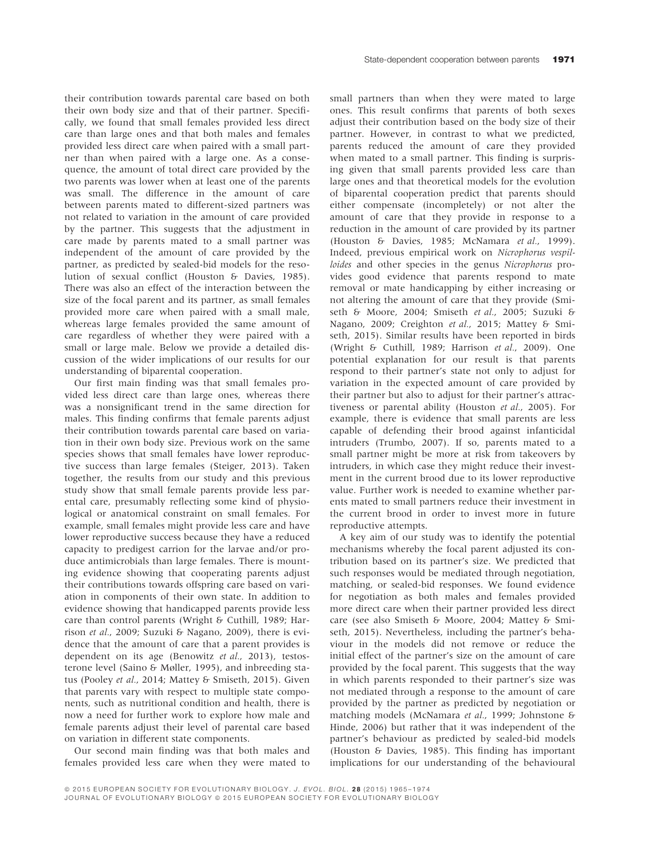their contribution towards parental care based on both their own body size and that of their partner. Specifically, we found that small females provided less direct care than large ones and that both males and females provided less direct care when paired with a small partner than when paired with a large one. As a consequence, the amount of total direct care provided by the two parents was lower when at least one of the parents was small. The difference in the amount of care between parents mated to different-sized partners was not related to variation in the amount of care provided by the partner. This suggests that the adjustment in care made by parents mated to a small partner was independent of the amount of care provided by the partner, as predicted by sealed-bid models for the resolution of sexual conflict (Houston & Davies, 1985). There was also an effect of the interaction between the size of the focal parent and its partner, as small females provided more care when paired with a small male, whereas large females provided the same amount of care regardless of whether they were paired with a small or large male. Below we provide a detailed discussion of the wider implications of our results for our understanding of biparental cooperation.

Our first main finding was that small females provided less direct care than large ones, whereas there was a nonsignificant trend in the same direction for males. This finding confirms that female parents adjust their contribution towards parental care based on variation in their own body size. Previous work on the same species shows that small females have lower reproductive success than large females (Steiger, 2013). Taken together, the results from our study and this previous study show that small female parents provide less parental care, presumably reflecting some kind of physiological or anatomical constraint on small females. For example, small females might provide less care and have lower reproductive success because they have a reduced capacity to predigest carrion for the larvae and/or produce antimicrobials than large females. There is mounting evidence showing that cooperating parents adjust their contributions towards offspring care based on variation in components of their own state. In addition to evidence showing that handicapped parents provide less care than control parents (Wright & Cuthill, 1989; Harrison et al., 2009; Suzuki & Nagano, 2009), there is evidence that the amount of care that a parent provides is dependent on its age (Benowitz et al., 2013), testosterone level (Saino & Møller, 1995), and inbreeding status (Pooley et al., 2014; Mattey & Smiseth, 2015). Given that parents vary with respect to multiple state components, such as nutritional condition and health, there is now a need for further work to explore how male and female parents adjust their level of parental care based on variation in different state components.

Our second main finding was that both males and females provided less care when they were mated to small partners than when they were mated to large ones. This result confirms that parents of both sexes adjust their contribution based on the body size of their partner. However, in contrast to what we predicted, parents reduced the amount of care they provided when mated to a small partner. This finding is surprising given that small parents provided less care than large ones and that theoretical models for the evolution of biparental cooperation predict that parents should either compensate (incompletely) or not alter the amount of care that they provide in response to a reduction in the amount of care provided by its partner (Houston & Davies, 1985; McNamara et al., 1999). Indeed, previous empirical work on Nicrophorus vespilloides and other species in the genus Nicrophorus provides good evidence that parents respond to mate removal or mate handicapping by either increasing or not altering the amount of care that they provide (Smiseth & Moore, 2004; Smiseth et al., 2005; Suzuki & Nagano, 2009; Creighton et al., 2015; Mattey & Smiseth, 2015). Similar results have been reported in birds (Wright & Cuthill, 1989; Harrison et al., 2009). One potential explanation for our result is that parents respond to their partner's state not only to adjust for variation in the expected amount of care provided by their partner but also to adjust for their partner's attractiveness or parental ability (Houston et al., 2005). For example, there is evidence that small parents are less capable of defending their brood against infanticidal intruders (Trumbo, 2007). If so, parents mated to a small partner might be more at risk from takeovers by intruders, in which case they might reduce their investment in the current brood due to its lower reproductive value. Further work is needed to examine whether parents mated to small partners reduce their investment in the current brood in order to invest more in future reproductive attempts.

A key aim of our study was to identify the potential mechanisms whereby the focal parent adjusted its contribution based on its partner's size. We predicted that such responses would be mediated through negotiation, matching, or sealed-bid responses. We found evidence for negotiation as both males and females provided more direct care when their partner provided less direct care (see also Smiseth & Moore, 2004; Mattey & Smiseth, 2015). Nevertheless, including the partner's behaviour in the models did not remove or reduce the initial effect of the partner's size on the amount of care provided by the focal parent. This suggests that the way in which parents responded to their partner's size was not mediated through a response to the amount of care provided by the partner as predicted by negotiation or matching models (McNamara et al., 1999; Johnstone & Hinde, 2006) but rather that it was independent of the partner's behaviour as predicted by sealed-bid models (Houston & Davies, 1985). This finding has important implications for our understanding of the behavioural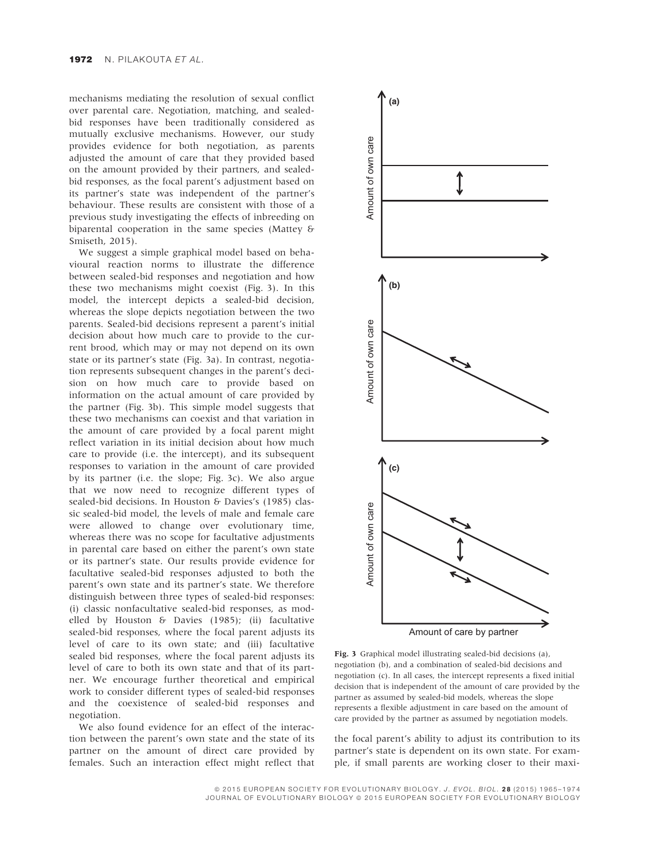mechanisms mediating the resolution of sexual conflict over parental care. Negotiation, matching, and sealedbid responses have been traditionally considered as mutually exclusive mechanisms. However, our study provides evidence for both negotiation, as parents adjusted the amount of care that they provided based on the amount provided by their partners, and sealedbid responses, as the focal parent's adjustment based on its partner's state was independent of the partner's behaviour. These results are consistent with those of a previous study investigating the effects of inbreeding on biparental cooperation in the same species (Mattey & Smiseth, 2015).

We suggest a simple graphical model based on behavioural reaction norms to illustrate the difference between sealed-bid responses and negotiation and how these two mechanisms might coexist (Fig. 3). In this model, the intercept depicts a sealed-bid decision, whereas the slope depicts negotiation between the two parents. Sealed-bid decisions represent a parent's initial decision about how much care to provide to the current brood, which may or may not depend on its own state or its partner's state (Fig. 3a). In contrast, negotiation represents subsequent changes in the parent's decision on how much care to provide based on information on the actual amount of care provided by the partner (Fig. 3b). This simple model suggests that these two mechanisms can coexist and that variation in the amount of care provided by a focal parent might reflect variation in its initial decision about how much care to provide (i.e. the intercept), and its subsequent responses to variation in the amount of care provided by its partner (i.e. the slope; Fig. 3c). We also argue that we now need to recognize different types of sealed-bid decisions. In Houston & Davies's (1985) classic sealed-bid model, the levels of male and female care were allowed to change over evolutionary time, whereas there was no scope for facultative adjustments in parental care based on either the parent's own state or its partner's state. Our results provide evidence for facultative sealed-bid responses adjusted to both the parent's own state and its partner's state. We therefore distinguish between three types of sealed-bid responses: (i) classic nonfacultative sealed-bid responses, as modelled by Houston & Davies (1985); (ii) facultative sealed-bid responses, where the focal parent adjusts its level of care to its own state; and (iii) facultative sealed bid responses, where the focal parent adjusts its level of care to both its own state and that of its partner. We encourage further theoretical and empirical work to consider different types of sealed-bid responses and the coexistence of sealed-bid responses and negotiation.

We also found evidence for an effect of the interaction between the parent's own state and the state of its partner on the amount of direct care provided by females. Such an interaction effect might reflect that



Fig. 3 Graphical model illustrating sealed-bid decisions (a), negotiation (b), and a combination of sealed-bid decisions and negotiation (c). In all cases, the intercept represents a fixed initial decision that is independent of the amount of care provided by the partner as assumed by sealed-bid models, whereas the slope represents a flexible adjustment in care based on the amount of care provided by the partner as assumed by negotiation models.

the focal parent's ability to adjust its contribution to its partner's state is dependent on its own state. For exam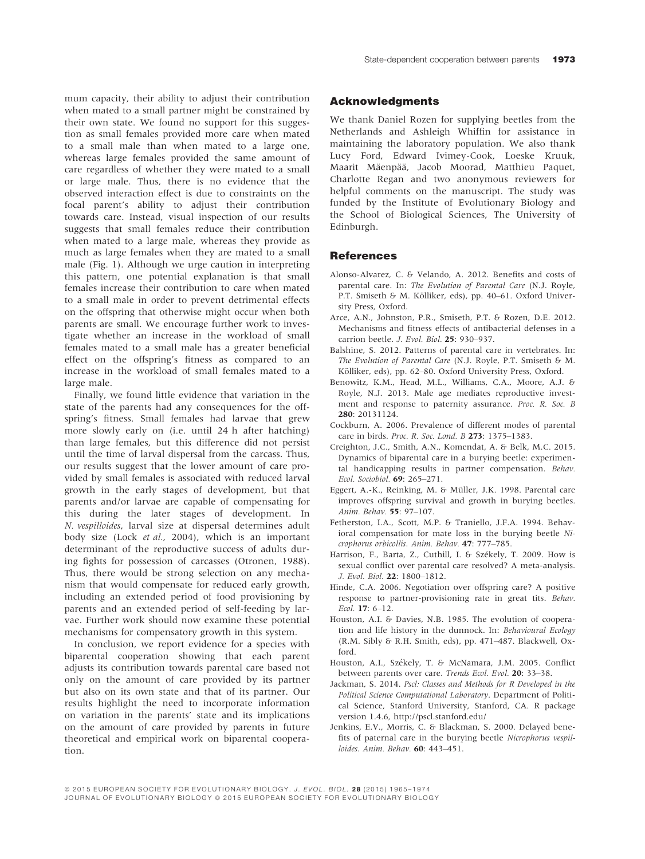mum capacity, their ability to adjust their contribution when mated to a small partner might be constrained by their own state. We found no support for this suggestion as small females provided more care when mated to a small male than when mated to a large one, whereas large females provided the same amount of care regardless of whether they were mated to a small or large male. Thus, there is no evidence that the observed interaction effect is due to constraints on the focal parent's ability to adjust their contribution towards care. Instead, visual inspection of our results suggests that small females reduce their contribution when mated to a large male, whereas they provide as much as large females when they are mated to a small male (Fig. 1). Although we urge caution in interpreting this pattern, one potential explanation is that small females increase their contribution to care when mated to a small male in order to prevent detrimental effects on the offspring that otherwise might occur when both parents are small. We encourage further work to investigate whether an increase in the workload of small females mated to a small male has a greater beneficial effect on the offspring's fitness as compared to an increase in the workload of small females mated to a large male.

Finally, we found little evidence that variation in the state of the parents had any consequences for the offspring's fitness. Small females had larvae that grew more slowly early on (i.e. until 24 h after hatching) than large females, but this difference did not persist until the time of larval dispersal from the carcass. Thus, our results suggest that the lower amount of care provided by small females is associated with reduced larval growth in the early stages of development, but that parents and/or larvae are capable of compensating for this during the later stages of development. In N. vespilloides, larval size at dispersal determines adult body size (Lock et al., 2004), which is an important determinant of the reproductive success of adults during fights for possession of carcasses (Otronen, 1988). Thus, there would be strong selection on any mechanism that would compensate for reduced early growth, including an extended period of food provisioning by parents and an extended period of self-feeding by larvae. Further work should now examine these potential mechanisms for compensatory growth in this system.

In conclusion, we report evidence for a species with biparental cooperation showing that each parent adjusts its contribution towards parental care based not only on the amount of care provided by its partner but also on its own state and that of its partner. Our results highlight the need to incorporate information on variation in the parents' state and its implications on the amount of care provided by parents in future theoretical and empirical work on biparental cooperation.

#### Acknowledgments

We thank Daniel Rozen for supplying beetles from the Netherlands and Ashleigh Whiffin for assistance in maintaining the laboratory population. We also thank Lucy Ford, Edward Ivimey-Cook, Loeske Kruuk, Maarit Mäenpää, Jacob Moorad, Matthieu Paquet, Charlotte Regan and two anonymous reviewers for helpful comments on the manuscript. The study was funded by the Institute of Evolutionary Biology and the School of Biological Sciences, The University of Edinburgh.

#### References

- Alonso-Alvarez, C. & Velando, A. 2012. Benefits and costs of parental care. In: The Evolution of Parental Care (N.J. Royle, P.T. Smiseth & M. Kölliker, eds), pp. 40-61. Oxford University Press, Oxford.
- Arce, A.N., Johnston, P.R., Smiseth, P.T. & Rozen, D.E. 2012. Mechanisms and fitness effects of antibacterial defenses in a carrion beetle. J. Evol. Biol. 25: 930–937.
- Balshine, S. 2012. Patterns of parental care in vertebrates. In: The Evolution of Parental Care (N.J. Royle, P.T. Smiseth & M. Kölliker, eds), pp. 62-80. Oxford University Press, Oxford.
- Benowitz, K.M., Head, M.L., Williams, C.A., Moore, A.J. & Royle, N.J. 2013. Male age mediates reproductive investment and response to paternity assurance. Proc. R. Soc. B
- 280: 20131124. Cockburn, A. 2006. Prevalence of different modes of parental care in birds. Proc. R. Soc. Lond. B 273: 1375–1383.
- Creighton, J.C., Smith, A.N., Komendat, A. & Belk, M.C. 2015. Dynamics of biparental care in a burying beetle: experimental handicapping results in partner compensation. Behav. Ecol. Sociobiol. 69: 265–271.
- Eggert, A.-K., Reinking, M. & Müller, J.K. 1998. Parental care improves offspring survival and growth in burying beetles. Anim. Behav. 55: 97–107.
- Fetherston, I.A., Scott, M.P. & Traniello, J.F.A. 1994. Behavioral compensation for mate loss in the burying beetle Nicrophorus orbicollis. Anim. Behav. 47: 777–785.
- Harrison, F., Barta, Z., Cuthill, I. & Székely, T. 2009. How is sexual conflict over parental care resolved? A meta-analysis. J. Evol. Biol. 22: 1800–1812.
- Hinde, C.A. 2006. Negotiation over offspring care? A positive response to partner-provisioning rate in great tits. Behav. Ecol. 17: 6–12.
- Houston, A.I. & Davies, N.B. 1985. The evolution of cooperation and life history in the dunnock. In: Behavioural Ecology (R.M. Sibly & R.H. Smith, eds), pp. 471–487. Blackwell, Oxford.
- Houston, A.I., Székely, T. & McNamara, J.M. 2005. Conflict between parents over care. Trends Ecol. Evol. 20: 33–38.
- Jackman, S. 2014. Pscl: Classes and Methods for R Developed in the Political Science Computational Laboratory. Department of Political Science, Stanford University, Stanford, CA. R package version 1.4.6,<http://pscl.stanford.edu/>
- Jenkins, E.V., Morris, C. & Blackman, S. 2000. Delayed benefits of paternal care in the burying beetle Nicrophorus vespilloides. Anim. Behav. 60: 443–451.